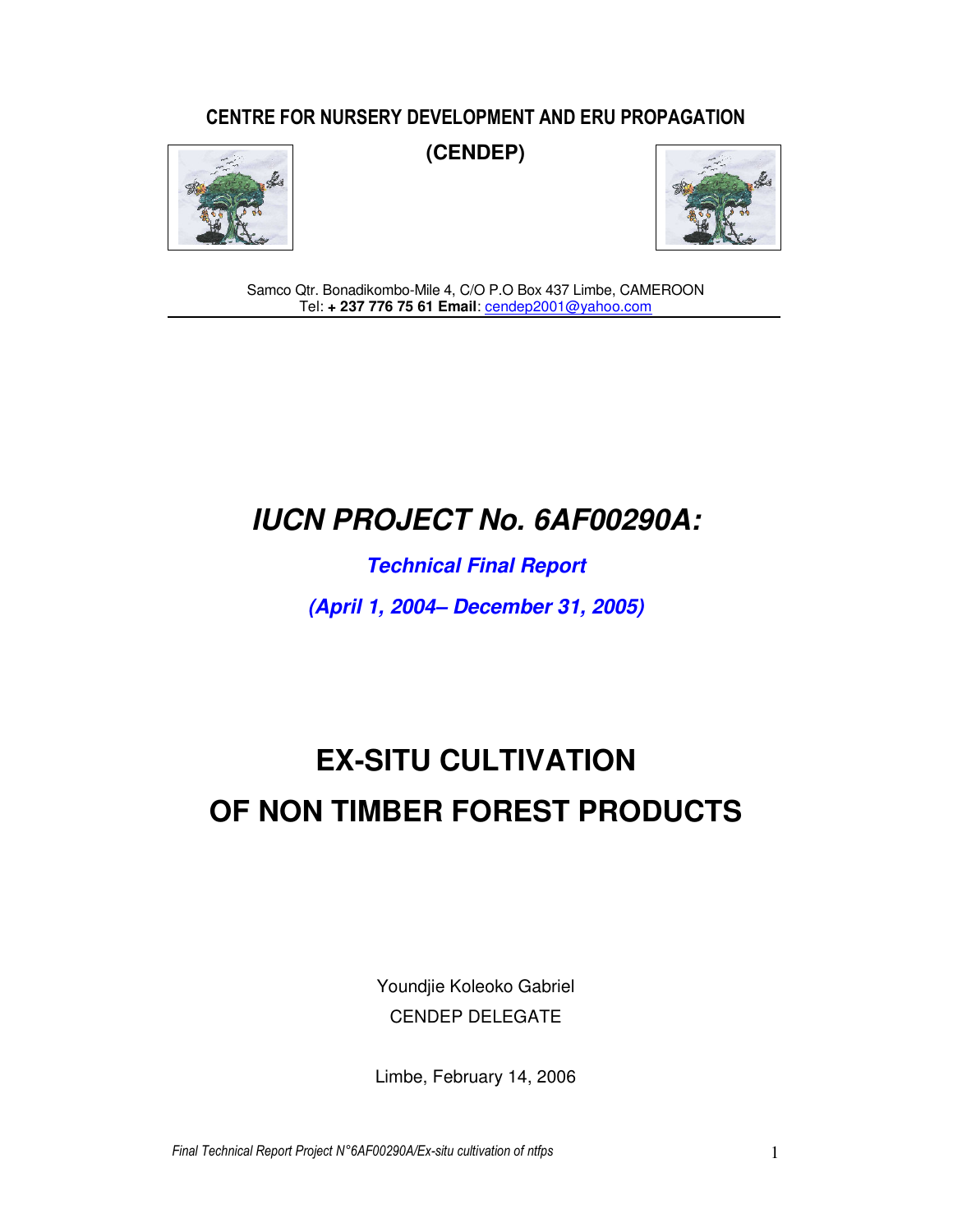### CENTRE FOR NURSERY DEVELOPMENT AND ERU PROPAGATION



**(CENDEP)** 



Samco Qtr. Bonadikombo-Mile 4, C/O P.O Box 437 Limbe, CAMEROON Tel: **+ 237 776 75 61 Email**: **cendep2001@yahoo.com** 

## **IUCN PROJECT No. 6AF00290A:**

**Technical Final Report** 

**(April 1, 2004– December 31, 2005)** 

# **EX-SITU CULTIVATION OF NON TIMBER FOREST PRODUCTS**

Youndjie Koleoko Gabriel CENDEP DELEGATE

Limbe, February 14, 2006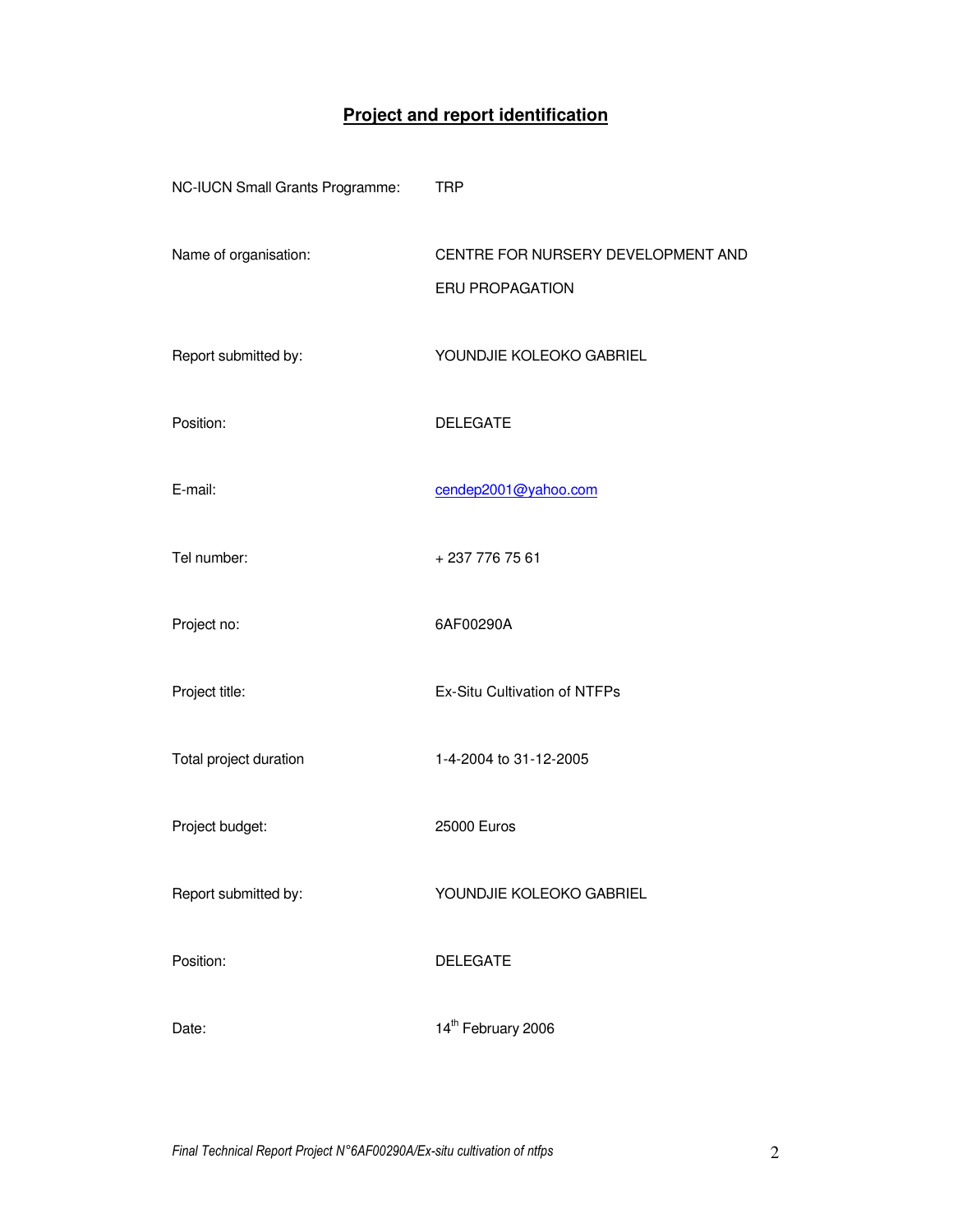## **Project and report identification**

| NC-IUCN Small Grants Programme: | <b>TRP</b>                                                   |
|---------------------------------|--------------------------------------------------------------|
| Name of organisation:           | CENTRE FOR NURSERY DEVELOPMENT AND<br><b>ERU PROPAGATION</b> |
| Report submitted by:            | YOUNDJIE KOLEOKO GABRIEL                                     |
| Position:                       | <b>DELEGATE</b>                                              |
| E-mail:                         | cendep2001@yahoo.com                                         |
| Tel number:                     | +2377767561                                                  |
| Project no:                     | 6AF00290A                                                    |
| Project title:                  | Ex-Situ Cultivation of NTFPs                                 |
| Total project duration          | 1-4-2004 to 31-12-2005                                       |
| Project budget:                 | 25000 Euros                                                  |
| Report submitted by:            | YOUNDJIE KOLEOKO GABRIEL                                     |
| Position:                       | <b>DELEGATE</b>                                              |
| Date:                           | 14 <sup>th</sup> February 2006                               |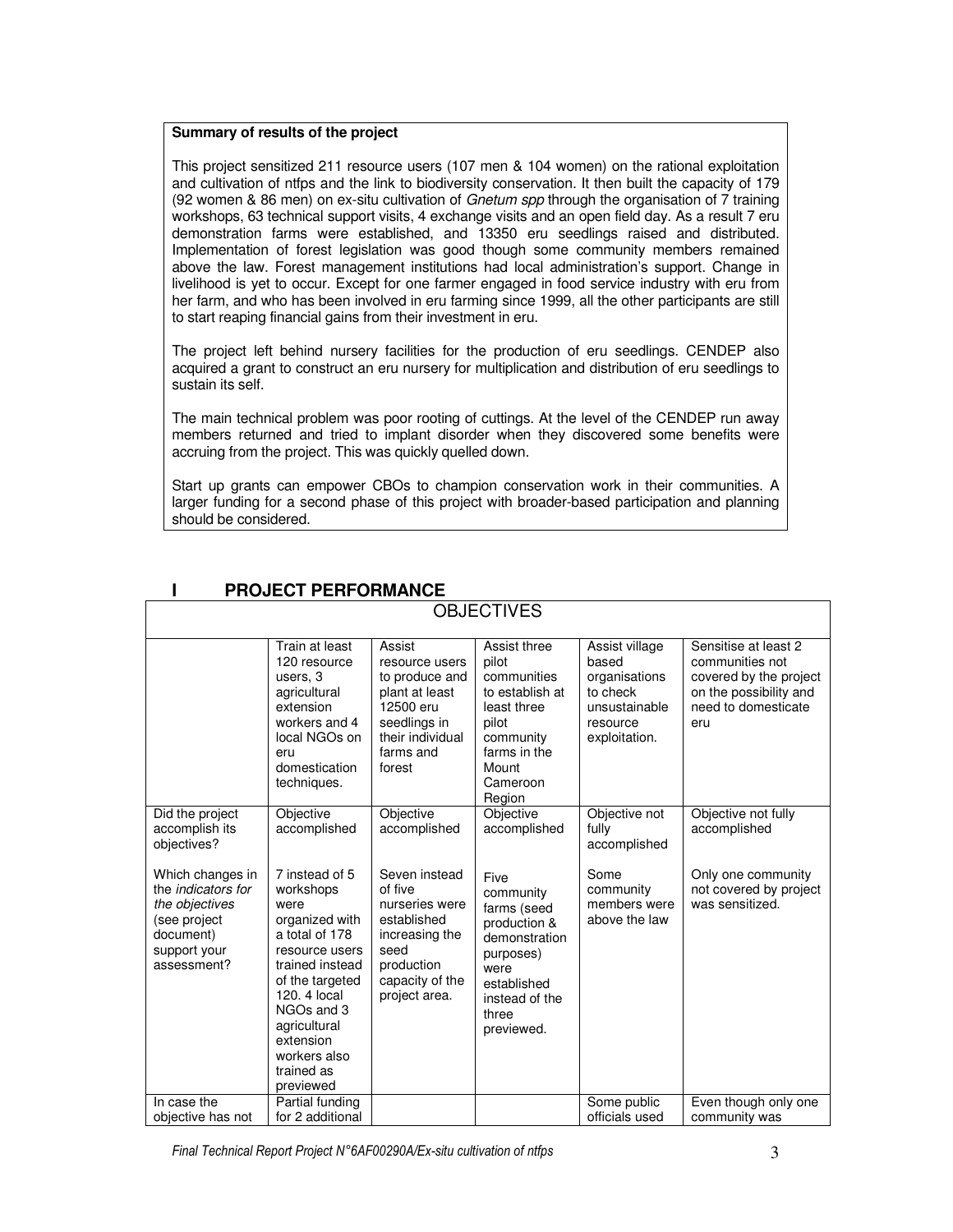#### **Summary of results of the project**

This project sensitized 211 resource users (107 men & 104 women) on the rational exploitation and cultivation of ntfps and the link to biodiversity conservation. It then built the capacity of 179 (92 women & 86 men) on ex-situ cultivation of Gnetum spp through the organisation of 7 training workshops, 63 technical support visits, 4 exchange visits and an open field day. As a result 7 eru demonstration farms were established, and 13350 eru seedlings raised and distributed. Implementation of forest legislation was good though some community members remained above the law. Forest management institutions had local administration's support. Change in livelihood is yet to occur. Except for one farmer engaged in food service industry with eru from her farm, and who has been involved in eru farming since 1999, all the other participants are still to start reaping financial gains from their investment in eru.

The project left behind nursery facilities for the production of eru seedlings. CENDEP also acquired a grant to construct an eru nursery for multiplication and distribution of eru seedlings to sustain its self.

The main technical problem was poor rooting of cuttings. At the level of the CENDEP run away members returned and tried to implant disorder when they discovered some benefits were accruing from the project. This was quickly quelled down.

Start up grants can empower CBOs to champion conservation work in their communities. A larger funding for a second phase of this project with broader-based participation and planning should be considered.

| <b>OBJECTIVES</b>                                                                                                           |                                                                                                                                                                                                                                       |                                                                                                                                       |                                                                                                                                                |                                                                                                    |                                                                                                                           |  |  |  |
|-----------------------------------------------------------------------------------------------------------------------------|---------------------------------------------------------------------------------------------------------------------------------------------------------------------------------------------------------------------------------------|---------------------------------------------------------------------------------------------------------------------------------------|------------------------------------------------------------------------------------------------------------------------------------------------|----------------------------------------------------------------------------------------------------|---------------------------------------------------------------------------------------------------------------------------|--|--|--|
|                                                                                                                             | Train at least<br>120 resource<br>users, 3<br>agricultural<br>extension<br>workers and 4<br>local NGOs on<br>eru<br>domestication<br>techniques.                                                                                      | Assist<br>resource users<br>to produce and<br>plant at least<br>12500 eru<br>seedlings in<br>their individual<br>farms and<br>forest  | Assist three<br>pilot<br>communities<br>to establish at<br>least three<br>pilot<br>community<br>farms in the<br>Mount<br>Cameroon<br>Region    | Assist village<br>based<br>organisations<br>to check<br>unsustainable<br>resource<br>exploitation. | Sensitise at least 2<br>communities not<br>covered by the project<br>on the possibility and<br>need to domesticate<br>eru |  |  |  |
| Did the project<br>accomplish its<br>objectives?                                                                            | Objective<br>accomplished                                                                                                                                                                                                             | Objective<br>accomplished                                                                                                             | Objective<br>accomplished                                                                                                                      | Objective not<br>fully<br>accomplished                                                             | Objective not fully<br>accomplished                                                                                       |  |  |  |
| Which changes in<br>the <i>indicators</i> for<br>the objectives<br>(see project<br>document)<br>support your<br>assessment? | 7 instead of 5<br>workshops<br>were<br>organized with<br>a total of 178<br>resource users<br>trained instead<br>of the targeted<br>120, 4 local<br>NGOs and 3<br>agricultural<br>extension<br>workers also<br>trained as<br>previewed | Seven instead<br>of five<br>nurseries were<br>established<br>increasing the<br>seed<br>production<br>capacity of the<br>project area. | Five<br>community<br>farms (seed<br>production &<br>demonstration<br>purposes)<br>were<br>established<br>instead of the<br>three<br>previewed. | Some<br>community<br>members were<br>above the law                                                 | Only one community<br>not covered by project<br>was sensitized.                                                           |  |  |  |
| In case the<br>objective has not                                                                                            | Partial funding<br>for 2 additional                                                                                                                                                                                                   |                                                                                                                                       |                                                                                                                                                | Some public<br>officials used                                                                      | Even though only one<br>community was                                                                                     |  |  |  |

#### **I PROJECT PERFORMANCE**

Final Technical Report Project N°6AF00290A/Ex-situ cultivation of ntfps 3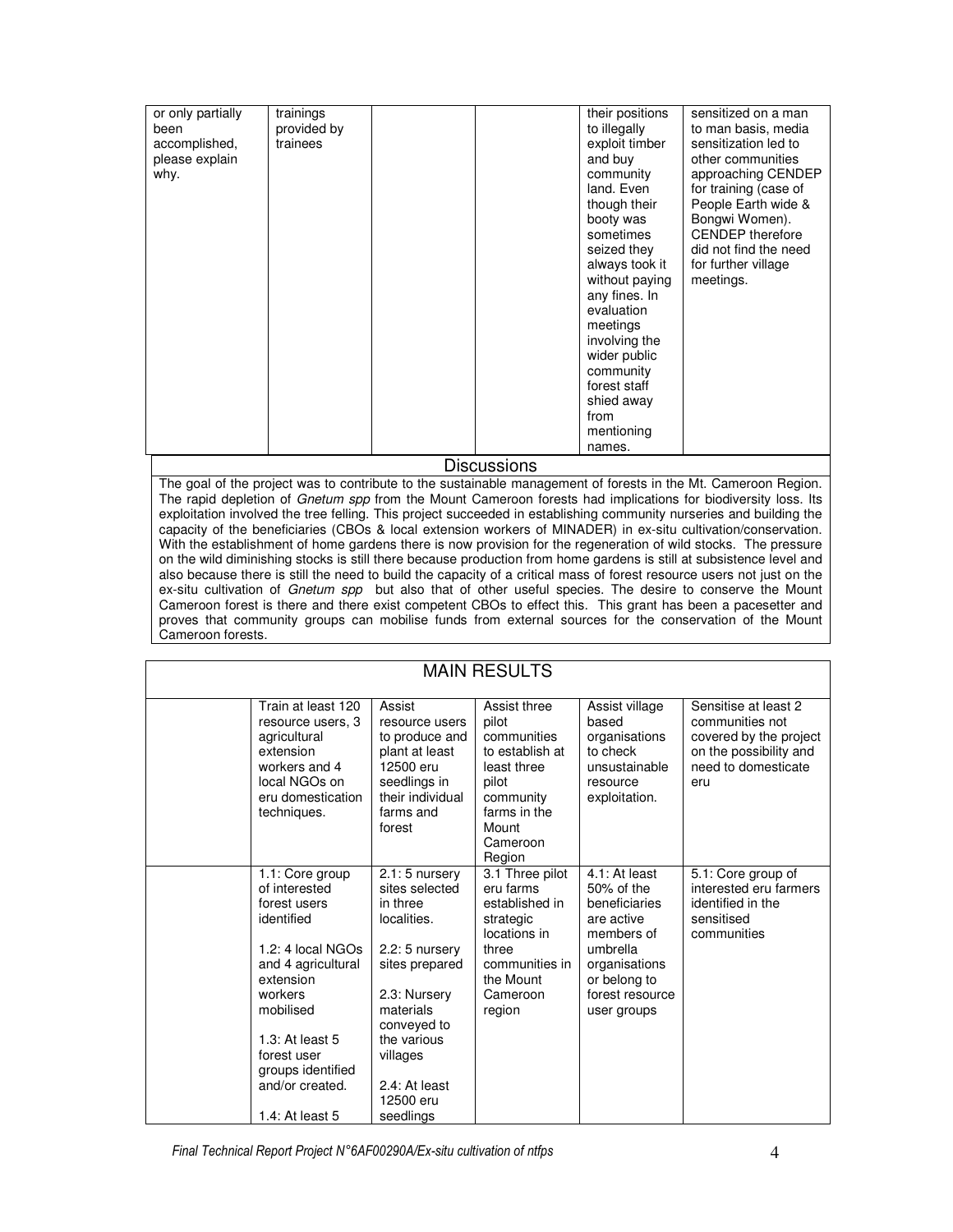| or only partially<br>been<br>accomplished,<br>please explain<br>why. | trainings<br>provided by<br>trainees | Discussions | their positions<br>to illegally<br>exploit timber<br>and buy<br>community<br>land. Even<br>though their<br>booty was<br>sometimes<br>seized they<br>always took it<br>without paying<br>any fines. In<br>evaluation<br>meetings<br>involving the<br>wider public<br>community<br>forest staff<br>shied away<br>from<br>mentioning<br>names. | sensitized on a man<br>to man basis, media<br>sensitization led to<br>other communities<br>approaching CENDEP<br>for training (case of<br>People Earth wide &<br>Bongwi Women).<br><b>CENDEP</b> therefore<br>did not find the need<br>for further village<br>meetings. |
|----------------------------------------------------------------------|--------------------------------------|-------------|---------------------------------------------------------------------------------------------------------------------------------------------------------------------------------------------------------------------------------------------------------------------------------------------------------------------------------------------|-------------------------------------------------------------------------------------------------------------------------------------------------------------------------------------------------------------------------------------------------------------------------|
|----------------------------------------------------------------------|--------------------------------------|-------------|---------------------------------------------------------------------------------------------------------------------------------------------------------------------------------------------------------------------------------------------------------------------------------------------------------------------------------------------|-------------------------------------------------------------------------------------------------------------------------------------------------------------------------------------------------------------------------------------------------------------------------|

The goal of the project was to contribute to the sustainable management of forests in the Mt. Cameroon Region. The rapid depletion of Gnetum spp from the Mount Cameroon forests had implications for biodiversity loss. Its exploitation involved the tree felling. This project succeeded in establishing community nurseries and building the capacity of the beneficiaries (CBOs & local extension workers of MINADER) in ex-situ cultivation/conservation. With the establishment of home gardens there is now provision for the regeneration of wild stocks. The pressure on the wild diminishing stocks is still there because production from home gardens is still at subsistence level and also because there is still the need to build the capacity of a critical mass of forest resource users not just on the ex-situ cultivation of Gnetum spp but also that of other useful species. The desire to conserve the Mount Cameroon forest is there and there exist competent CBOs to effect this. This grant has been a pacesetter and proves that community groups can mobilise funds from external sources for the conservation of the Mount Cameroon forests.

|                                                                                                                                                                                                                                                |                                                                                                                                                                                                                     | <b>MAIN RESULTS</b>                                                                                                                         |                                                                                                                                                         |                                                                                                                           |
|------------------------------------------------------------------------------------------------------------------------------------------------------------------------------------------------------------------------------------------------|---------------------------------------------------------------------------------------------------------------------------------------------------------------------------------------------------------------------|---------------------------------------------------------------------------------------------------------------------------------------------|---------------------------------------------------------------------------------------------------------------------------------------------------------|---------------------------------------------------------------------------------------------------------------------------|
| Train at least 120<br>resource users, 3<br>agricultural<br>extension<br>workers and 4<br>local NGOs on<br>eru domestication<br>techniques.                                                                                                     | Assist<br>resource users<br>to produce and<br>plant at least<br>12500 eru<br>seedlings in<br>their individual<br>farms and<br>forest                                                                                | Assist three<br>pilot<br>communities<br>to establish at<br>least three<br>pilot<br>community<br>farms in the<br>Mount<br>Cameroon<br>Region | Assist village<br>based<br>organisations<br>to check<br>unsustainable<br>resource<br>exploitation.                                                      | Sensitise at least 2<br>communities not<br>covered by the project<br>on the possibility and<br>need to domesticate<br>eru |
| 1.1: Core group<br>of interested<br>forest users<br>identified<br>1.2: 4 local NGOs<br>and 4 agricultural<br>extension<br>workers<br>mobilised<br>$1.3$ : At least 5<br>forest user<br>groups identified<br>and/or created.<br>1.4: At least 5 | $2.1:5$ nursery<br>sites selected<br>in three<br>localities.<br>$2.2:5$ nursery<br>sites prepared<br>2.3: Nursery<br>materials<br>conveyed to<br>the various<br>villages<br>2.4: At least<br>12500 eru<br>seedlings | 3.1 Three pilot<br>eru farms<br>established in<br>strategic<br>locations in<br>three<br>communities in<br>the Mount<br>Cameroon<br>region   | 4.1: At least<br>50% of the<br>beneficiaries<br>are active<br>members of<br>umbrella<br>organisations<br>or belong to<br>forest resource<br>user groups | 5.1: Core group of<br>interested eru farmers<br>identified in the<br>sensitised<br>communities                            |

Final Technical Report Project N°6AF00290A/Ex-situ cultivation of ntfps 4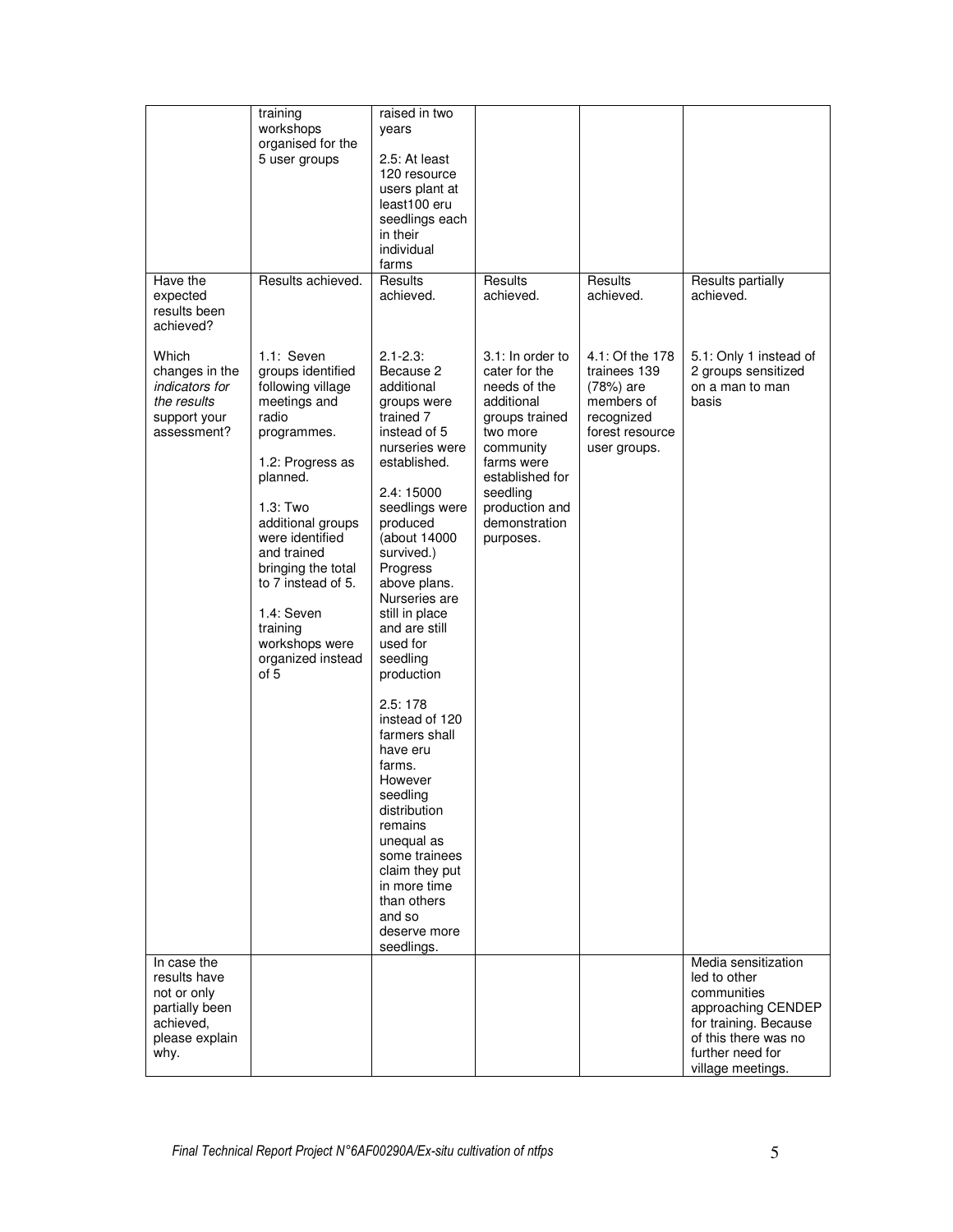| Have the                                                                                            | training<br>workshops<br>organised for the<br>5 user groups<br>Results achieved.                                                                                                                                                                                                                                     | raised in two<br>years<br>2.5: At least<br>120 resource<br>users plant at<br>least100 eru<br>seedlings each<br>in their<br>individual<br>farms<br>Results                                                                                                                                                                                                                                                                                                                                                                                                          | Results                                                                                                                                                                                                 | Results                                                                                                     | Results partially                                                                                                                                                  |
|-----------------------------------------------------------------------------------------------------|----------------------------------------------------------------------------------------------------------------------------------------------------------------------------------------------------------------------------------------------------------------------------------------------------------------------|--------------------------------------------------------------------------------------------------------------------------------------------------------------------------------------------------------------------------------------------------------------------------------------------------------------------------------------------------------------------------------------------------------------------------------------------------------------------------------------------------------------------------------------------------------------------|---------------------------------------------------------------------------------------------------------------------------------------------------------------------------------------------------------|-------------------------------------------------------------------------------------------------------------|--------------------------------------------------------------------------------------------------------------------------------------------------------------------|
| expected<br>results been<br>achieved?                                                               |                                                                                                                                                                                                                                                                                                                      | achieved.                                                                                                                                                                                                                                                                                                                                                                                                                                                                                                                                                          | achieved.                                                                                                                                                                                               | achieved.                                                                                                   | achieved.                                                                                                                                                          |
| Which<br>changes in the<br>indicators for<br>the results<br>support your<br>assessment?             | 1.1: Seven<br>groups identified<br>following village<br>meetings and<br>radio<br>programmes.<br>1.2: Progress as<br>planned.<br>1.3: Two<br>additional groups<br>were identified<br>and trained<br>bringing the total<br>to 7 instead of 5.<br>1.4: Seven<br>training<br>workshops were<br>organized instead<br>of 5 | $2.1 - 2.3$<br>Because 2<br>additional<br>groups were<br>trained 7<br>instead of 5<br>nurseries were<br>established.<br>2.4: 15000<br>seedlings were<br>produced<br>(about 14000<br>survived.)<br>Progress<br>above plans.<br>Nurseries are<br>still in place<br>and are still<br>used for<br>seedling<br>production<br>2.5:178<br>instead of 120<br>farmers shall<br>have eru<br>farms.<br>However<br>seedling<br>distribution<br>remains<br>unequal as<br>some trainees<br>claim they put<br>in more time<br>than others<br>and so<br>deserve more<br>seedlings. | 3.1: In order to<br>cater for the<br>needs of the<br>additional<br>groups trained<br>two more<br>community<br>farms were<br>established for<br>seedling<br>production and<br>demonstration<br>purposes. | 4.1: Of the 178<br>trainees 139<br>(78%) are<br>members of<br>recognized<br>forest resource<br>user groups. | 5.1: Only 1 instead of<br>2 groups sensitized<br>on a man to man<br>basis                                                                                          |
| In case the<br>results have<br>not or only<br>partially been<br>achieved.<br>please explain<br>why. |                                                                                                                                                                                                                                                                                                                      |                                                                                                                                                                                                                                                                                                                                                                                                                                                                                                                                                                    |                                                                                                                                                                                                         |                                                                                                             | Media sensitization<br>led to other<br>communities<br>approaching CENDEP<br>for training. Because<br>of this there was no<br>further need for<br>village meetings. |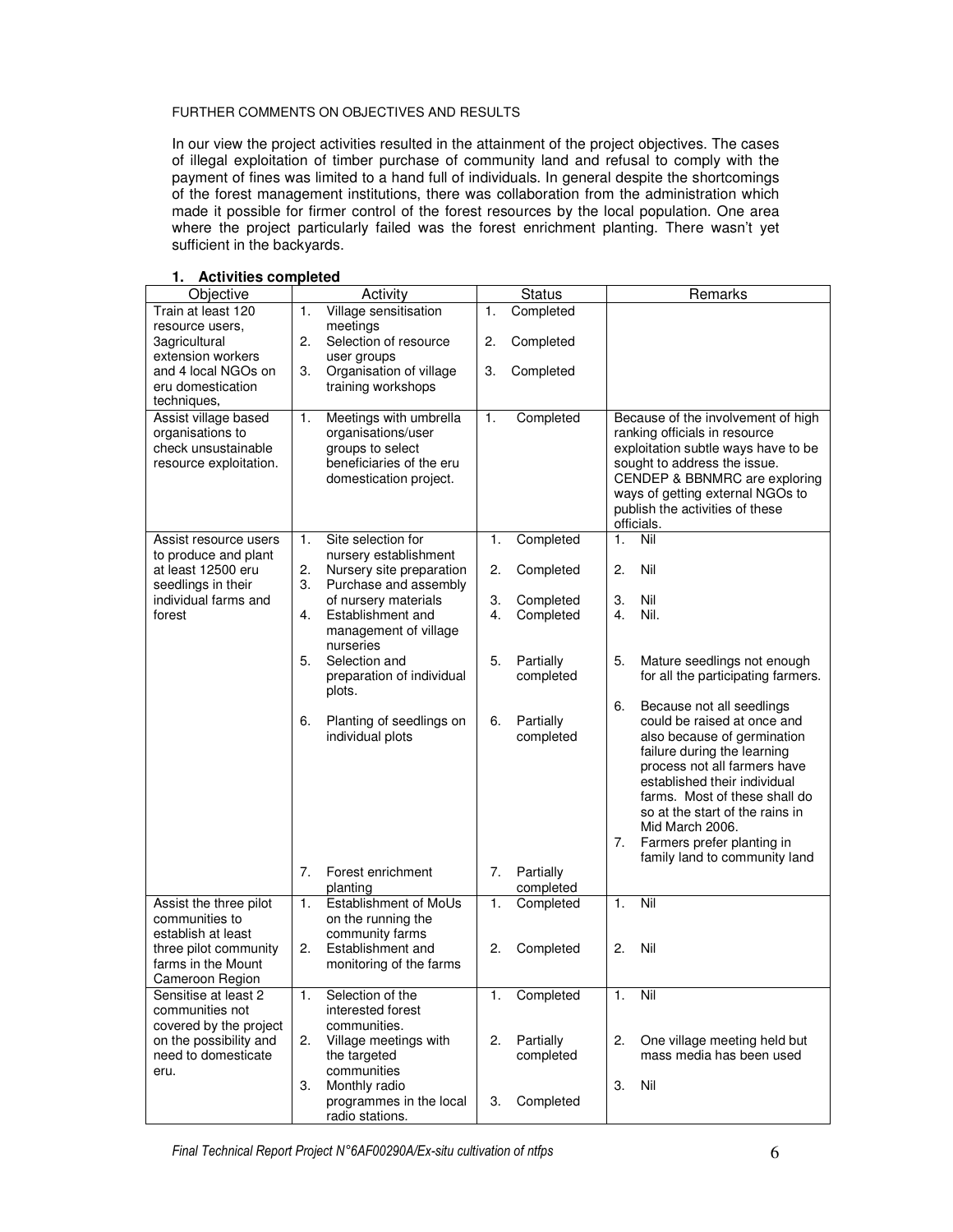#### FURTHER COMMENTS ON OBJECTIVES AND RESULTS

In our view the project activities resulted in the attainment of the project objectives. The cases of illegal exploitation of timber purchase of community land and refusal to comply with the payment of fines was limited to a hand full of individuals. In general despite the shortcomings of the forest management institutions, there was collaboration from the administration which made it possible for firmer control of the forest resources by the local population. One area where the project particularly failed was the forest enrichment planting. There wasn't yet sufficient in the backyards.

| Objective              |    | Activity                  |    | <b>Status</b> |    | Remarks                                                     |
|------------------------|----|---------------------------|----|---------------|----|-------------------------------------------------------------|
| Train at least 120     | 1. | Village sensitisation     | 1. | Completed     |    |                                                             |
| resource users.        |    | meetings                  |    |               |    |                                                             |
| 3agricultural          | 2. | Selection of resource     | 2. | Completed     |    |                                                             |
| extension workers      |    | user groups               |    |               |    |                                                             |
| and 4 local NGOs on    | З. | Organisation of village   | 3. | Completed     |    |                                                             |
| eru domestication      |    | training workshops        |    |               |    |                                                             |
| techniques,            |    |                           |    |               |    |                                                             |
| Assist village based   | 1. | Meetings with umbrella    | 1. | Completed     |    | Because of the involvement of high                          |
| organisations to       |    | organisations/user        |    |               |    | ranking officials in resource                               |
| check unsustainable    |    | groups to select          |    |               |    | exploitation subtle ways have to be                         |
| resource exploitation. |    | beneficiaries of the eru  |    |               |    | sought to address the issue.                                |
|                        |    | domestication project.    |    |               |    | CENDEP & BBNMRC are exploring                               |
|                        |    |                           |    |               |    | ways of getting external NGOs to                            |
|                        |    |                           |    |               |    | publish the activities of these                             |
|                        |    |                           |    |               |    | officials.                                                  |
| Assist resource users  | 1. | Site selection for        | 1. | Completed     | 1. | Nil                                                         |
| to produce and plant   |    | nursery establishment     |    |               |    |                                                             |
| at least 12500 eru     | 2. | Nursery site preparation  | 2. | Completed     | 2. | Nil                                                         |
| seedlings in their     | 3. | Purchase and assembly     |    |               |    |                                                             |
| individual farms and   |    | of nursery materials      | 3. | Completed     | 3. | Nil                                                         |
| forest                 | 4. | Establishment and         | 4. | Completed     | 4. | Nil.                                                        |
|                        |    | management of village     |    |               |    |                                                             |
|                        |    | nurseries                 |    |               |    |                                                             |
|                        | 5. | Selection and             | 5. | Partially     | 5. | Mature seedlings not enough                                 |
|                        |    | preparation of individual |    | completed     |    | for all the participating farmers.                          |
|                        |    | plots.                    |    |               |    |                                                             |
|                        |    |                           |    |               | 6. | Because not all seedlings                                   |
|                        | 6. | Planting of seedlings on  | 6. | Partially     |    | could be raised at once and                                 |
|                        |    | individual plots          |    | completed     |    | also because of germination                                 |
|                        |    |                           |    |               |    | failure during the learning<br>process not all farmers have |
|                        |    |                           |    |               |    | established their individual                                |
|                        |    |                           |    |               |    | farms. Most of these shall do                               |
|                        |    |                           |    |               |    | so at the start of the rains in                             |
|                        |    |                           |    |               |    | Mid March 2006.                                             |
|                        |    |                           |    |               | 7. | Farmers prefer planting in                                  |
|                        |    |                           |    |               |    | family land to community land                               |
|                        | 7. | Forest enrichment         | 7. | Partially     |    |                                                             |
|                        |    | planting                  |    | completed     |    |                                                             |
| Assist the three pilot | 1. | Establishment of MoUs     | 1. | Completed     | 1. | Nil                                                         |
| communities to         |    | on the running the        |    |               |    |                                                             |
| establish at least     |    | community farms           |    |               |    |                                                             |
| three pilot community  | 2. | Establishment and         | 2. | Completed     | 2. | Nil                                                         |
| farms in the Mount     |    | monitoring of the farms   |    |               |    |                                                             |
| Cameroon Region        |    |                           |    |               |    |                                                             |
| Sensitise at least 2   | 1. | Selection of the          | 1. | Completed     | 1. | $\overline{\text{Nil}}$                                     |
| communities not        |    | interested forest         |    |               |    |                                                             |
| covered by the project |    | communities.              |    |               |    |                                                             |
| on the possibility and | 2. | Village meetings with     | 2. | Partially     | 2. | One village meeting held but                                |
| need to domesticate    |    | the targeted              |    | completed     |    | mass media has been used                                    |
| eru.                   |    | communities               |    |               |    |                                                             |
|                        | 3. | Monthly radio             |    |               | 3. | Nil                                                         |
|                        |    | programmes in the local   | 3. | Completed     |    |                                                             |
|                        |    | radio stations.           |    |               |    |                                                             |

#### **1. Activities completed**

Final Technical Report Project N°6AF00290A/Ex-situ cultivation of ntfps 6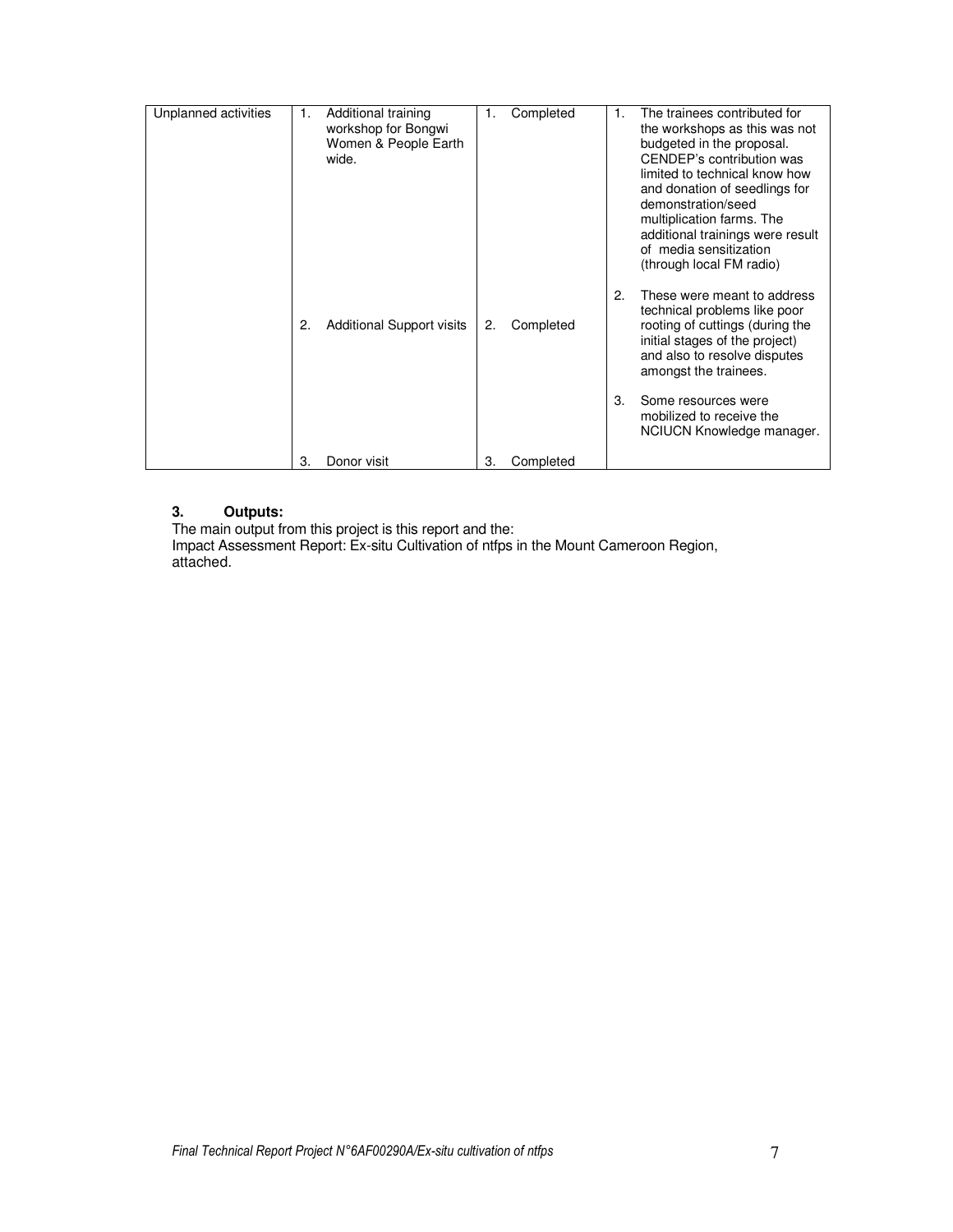| 3.<br>Some resources were<br>mobilized to receive the | Unplanned activities | 1.<br>$\mathbf{2}$ | Additional training<br>workshop for Bongwi<br>Women & People Earth<br>wide.<br><b>Additional Support visits</b> | 1.<br>2. | Completed<br>Completed | 1.<br>2. | The trainees contributed for<br>the workshops as this was not<br>budgeted in the proposal.<br>CENDEP's contribution was<br>limited to technical know how<br>and donation of seedlings for<br>demonstration/seed<br>multiplication farms. The<br>additional trainings were result<br>of media sensitization<br>(through local FM radio)<br>These were meant to address<br>technical problems like poor<br>rooting of cuttings (during the<br>initial stages of the project)<br>and also to resolve disputes |
|-------------------------------------------------------|----------------------|--------------------|-----------------------------------------------------------------------------------------------------------------|----------|------------------------|----------|------------------------------------------------------------------------------------------------------------------------------------------------------------------------------------------------------------------------------------------------------------------------------------------------------------------------------------------------------------------------------------------------------------------------------------------------------------------------------------------------------------|
|                                                       |                      |                    |                                                                                                                 |          |                        |          | amongst the trainees.                                                                                                                                                                                                                                                                                                                                                                                                                                                                                      |

#### **3. Outputs:**

The main output from this project is this report and the: Impact Assessment Report: Ex-situ Cultivation of ntfps in the Mount Cameroon Region, attached.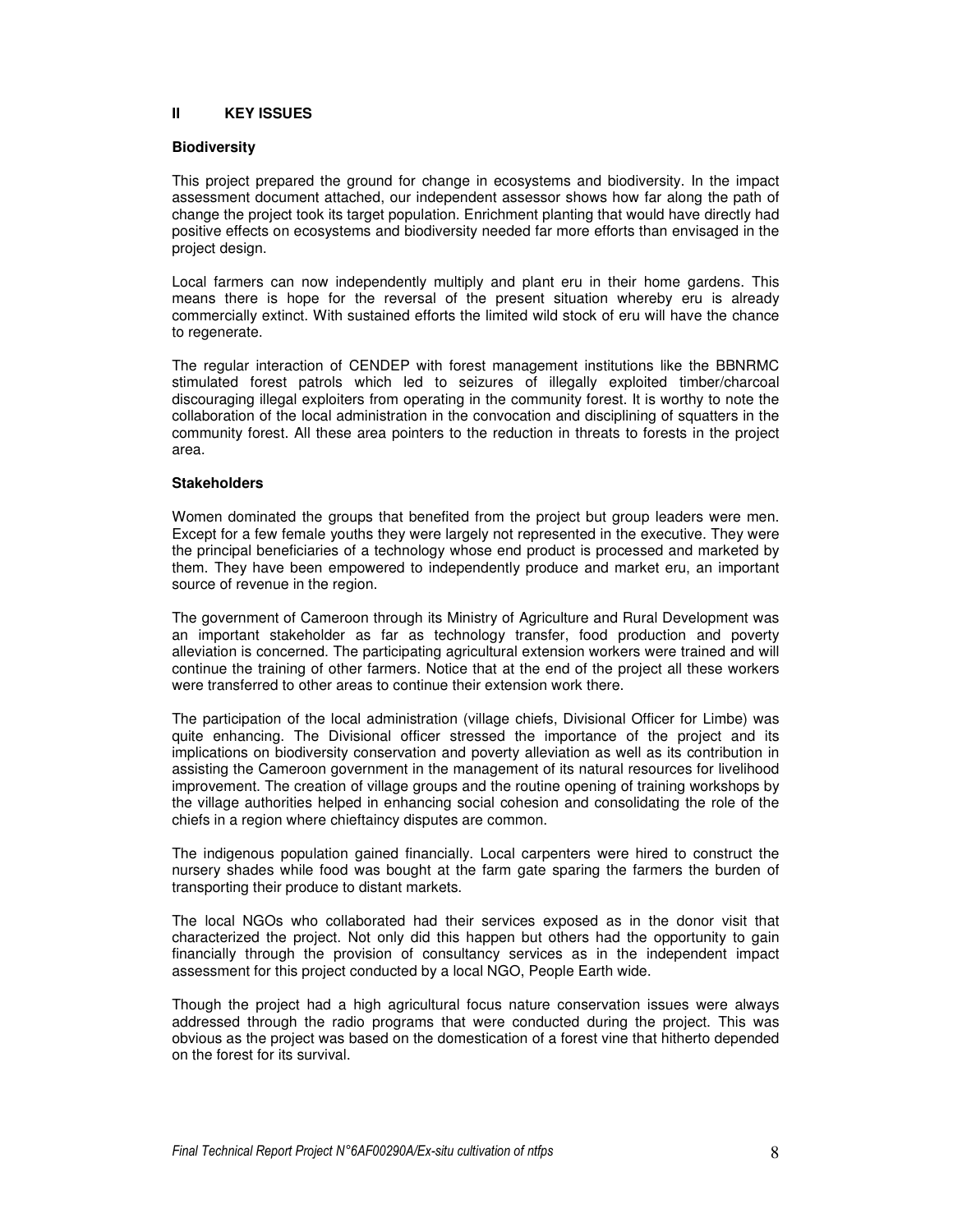#### **II KEY ISSUES**

#### **Biodiversity**

This project prepared the ground for change in ecosystems and biodiversity. In the impact assessment document attached, our independent assessor shows how far along the path of change the project took its target population. Enrichment planting that would have directly had positive effects on ecosystems and biodiversity needed far more efforts than envisaged in the project design.

Local farmers can now independently multiply and plant eru in their home gardens. This means there is hope for the reversal of the present situation whereby eru is already commercially extinct. With sustained efforts the limited wild stock of eru will have the chance to regenerate.

The regular interaction of CENDEP with forest management institutions like the BBNRMC stimulated forest patrols which led to seizures of illegally exploited timber/charcoal discouraging illegal exploiters from operating in the community forest. It is worthy to note the collaboration of the local administration in the convocation and disciplining of squatters in the community forest. All these area pointers to the reduction in threats to forests in the project area.

#### **Stakeholders**

Women dominated the groups that benefited from the project but group leaders were men. Except for a few female youths they were largely not represented in the executive. They were the principal beneficiaries of a technology whose end product is processed and marketed by them. They have been empowered to independently produce and market eru, an important source of revenue in the region.

The government of Cameroon through its Ministry of Agriculture and Rural Development was an important stakeholder as far as technology transfer, food production and poverty alleviation is concerned. The participating agricultural extension workers were trained and will continue the training of other farmers. Notice that at the end of the project all these workers were transferred to other areas to continue their extension work there.

The participation of the local administration (village chiefs, Divisional Officer for Limbe) was quite enhancing. The Divisional officer stressed the importance of the project and its implications on biodiversity conservation and poverty alleviation as well as its contribution in assisting the Cameroon government in the management of its natural resources for livelihood improvement. The creation of village groups and the routine opening of training workshops by the village authorities helped in enhancing social cohesion and consolidating the role of the chiefs in a region where chieftaincy disputes are common.

The indigenous population gained financially. Local carpenters were hired to construct the nursery shades while food was bought at the farm gate sparing the farmers the burden of transporting their produce to distant markets.

The local NGOs who collaborated had their services exposed as in the donor visit that characterized the project. Not only did this happen but others had the opportunity to gain financially through the provision of consultancy services as in the independent impact assessment for this project conducted by a local NGO, People Earth wide.

Though the project had a high agricultural focus nature conservation issues were always addressed through the radio programs that were conducted during the project. This was obvious as the project was based on the domestication of a forest vine that hitherto depended on the forest for its survival.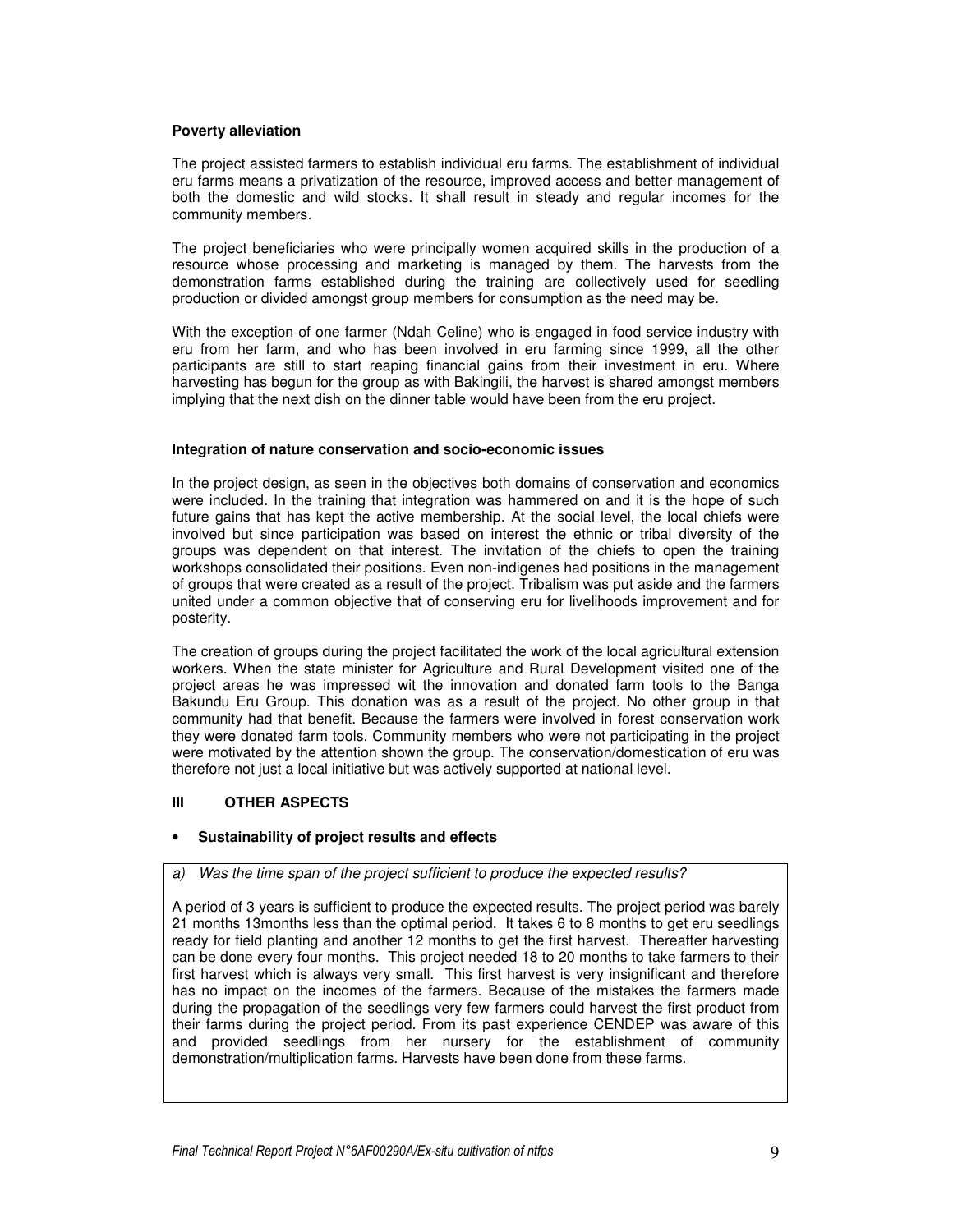#### **Poverty alleviation**

The project assisted farmers to establish individual eru farms. The establishment of individual eru farms means a privatization of the resource, improved access and better management of both the domestic and wild stocks. It shall result in steady and regular incomes for the community members.

The project beneficiaries who were principally women acquired skills in the production of a resource whose processing and marketing is managed by them. The harvests from the demonstration farms established during the training are collectively used for seedling production or divided amongst group members for consumption as the need may be.

With the exception of one farmer (Ndah Celine) who is engaged in food service industry with eru from her farm, and who has been involved in eru farming since 1999, all the other participants are still to start reaping financial gains from their investment in eru. Where harvesting has begun for the group as with Bakingili, the harvest is shared amongst members implying that the next dish on the dinner table would have been from the eru project.

#### **Integration of nature conservation and socio-economic issues**

In the project design, as seen in the objectives both domains of conservation and economics were included. In the training that integration was hammered on and it is the hope of such future gains that has kept the active membership. At the social level, the local chiefs were involved but since participation was based on interest the ethnic or tribal diversity of the groups was dependent on that interest. The invitation of the chiefs to open the training workshops consolidated their positions. Even non-indigenes had positions in the management of groups that were created as a result of the project. Tribalism was put aside and the farmers united under a common objective that of conserving eru for livelihoods improvement and for posterity.

The creation of groups during the project facilitated the work of the local agricultural extension workers. When the state minister for Agriculture and Rural Development visited one of the project areas he was impressed wit the innovation and donated farm tools to the Banga Bakundu Eru Group. This donation was as a result of the project. No other group in that community had that benefit. Because the farmers were involved in forest conservation work they were donated farm tools. Community members who were not participating in the project were motivated by the attention shown the group. The conservation/domestication of eru was therefore not just a local initiative but was actively supported at national level.

#### **III OTHER ASPECTS**

#### • **Sustainability of project results and effects**

a) Was the time span of the project sufficient to produce the expected results?

A period of 3 years is sufficient to produce the expected results. The project period was barely 21 months 13months less than the optimal period. It takes 6 to 8 months to get eru seedlings ready for field planting and another 12 months to get the first harvest. Thereafter harvesting can be done every four months. This project needed 18 to 20 months to take farmers to their first harvest which is always very small. This first harvest is very insignificant and therefore has no impact on the incomes of the farmers. Because of the mistakes the farmers made during the propagation of the seedlings very few farmers could harvest the first product from their farms during the project period. From its past experience CENDEP was aware of this and provided seedlings from her nursery for the establishment of community demonstration/multiplication farms. Harvests have been done from these farms.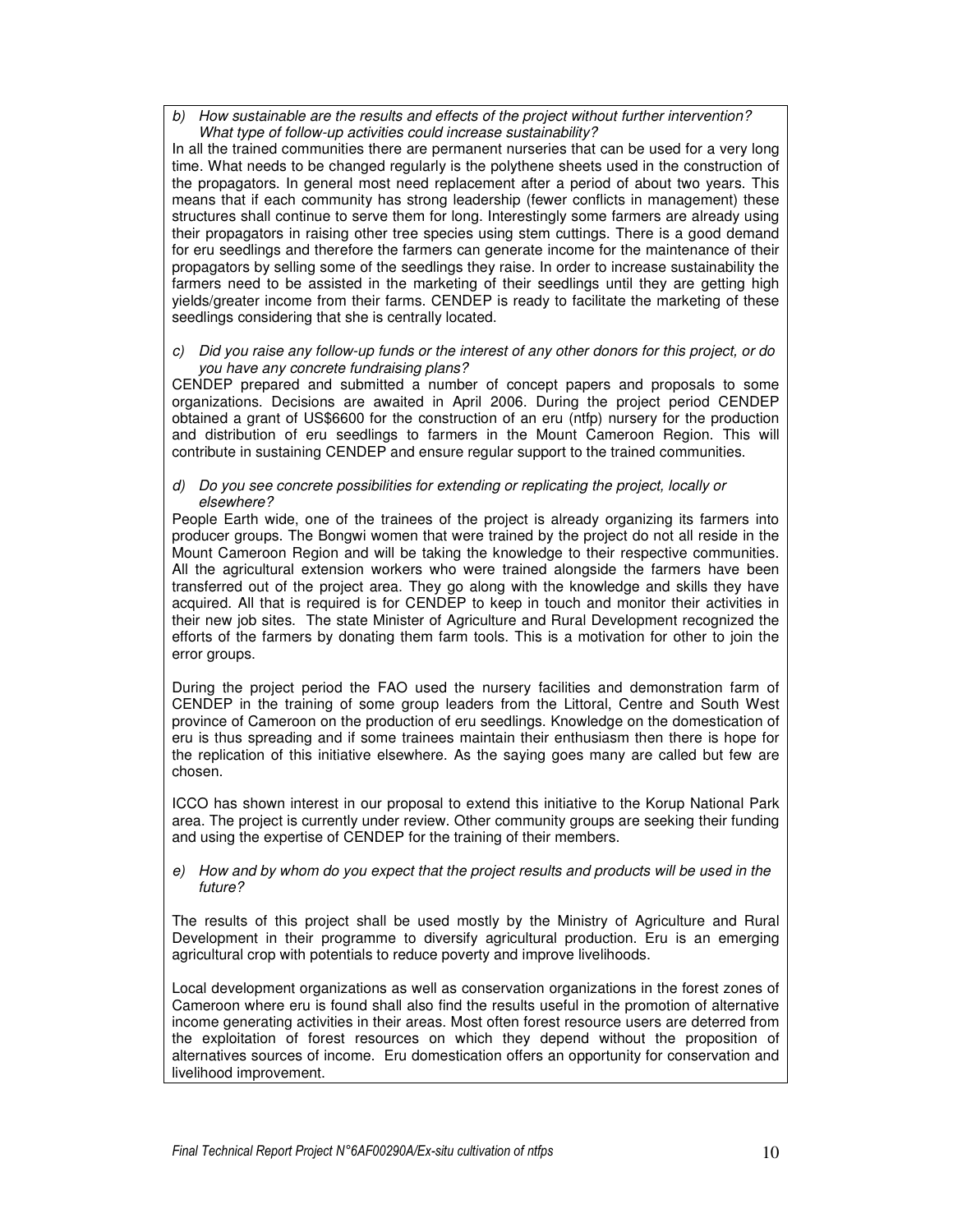b) How sustainable are the results and effects of the project without further intervention? What type of follow-up activities could increase sustainability?

In all the trained communities there are permanent nurseries that can be used for a very long time. What needs to be changed regularly is the polythene sheets used in the construction of the propagators. In general most need replacement after a period of about two years. This means that if each community has strong leadership (fewer conflicts in management) these structures shall continue to serve them for long. Interestingly some farmers are already using their propagators in raising other tree species using stem cuttings. There is a good demand for eru seedlings and therefore the farmers can generate income for the maintenance of their propagators by selling some of the seedlings they raise. In order to increase sustainability the farmers need to be assisted in the marketing of their seedlings until they are getting high yields/greater income from their farms. CENDEP is ready to facilitate the marketing of these seedlings considering that she is centrally located.

c) Did you raise any follow-up funds or the interest of any other donors for this project, or do you have any concrete fundraising plans?

CENDEP prepared and submitted a number of concept papers and proposals to some organizations. Decisions are awaited in April 2006. During the project period CENDEP obtained a grant of US\$6600 for the construction of an eru (ntfp) nursery for the production and distribution of eru seedlings to farmers in the Mount Cameroon Region. This will contribute in sustaining CENDEP and ensure regular support to the trained communities.

d) Do you see concrete possibilities for extending or replicating the project, locally or elsewhere?

People Earth wide, one of the trainees of the project is already organizing its farmers into producer groups. The Bongwi women that were trained by the project do not all reside in the Mount Cameroon Region and will be taking the knowledge to their respective communities. All the agricultural extension workers who were trained alongside the farmers have been transferred out of the project area. They go along with the knowledge and skills they have acquired. All that is required is for CENDEP to keep in touch and monitor their activities in their new job sites. The state Minister of Agriculture and Rural Development recognized the efforts of the farmers by donating them farm tools. This is a motivation for other to join the error groups.

During the project period the FAO used the nursery facilities and demonstration farm of CENDEP in the training of some group leaders from the Littoral, Centre and South West province of Cameroon on the production of eru seedlings. Knowledge on the domestication of eru is thus spreading and if some trainees maintain their enthusiasm then there is hope for the replication of this initiative elsewhere. As the saying goes many are called but few are chosen.

ICCO has shown interest in our proposal to extend this initiative to the Korup National Park area. The project is currently under review. Other community groups are seeking their funding and using the expertise of CENDEP for the training of their members.

e) How and by whom do you expect that the project results and products will be used in the future?

The results of this project shall be used mostly by the Ministry of Agriculture and Rural Development in their programme to diversify agricultural production. Eru is an emerging agricultural crop with potentials to reduce poverty and improve livelihoods.

Local development organizations as well as conservation organizations in the forest zones of Cameroon where eru is found shall also find the results useful in the promotion of alternative income generating activities in their areas. Most often forest resource users are deterred from the exploitation of forest resources on which they depend without the proposition of alternatives sources of income. Eru domestication offers an opportunity for conservation and livelihood improvement.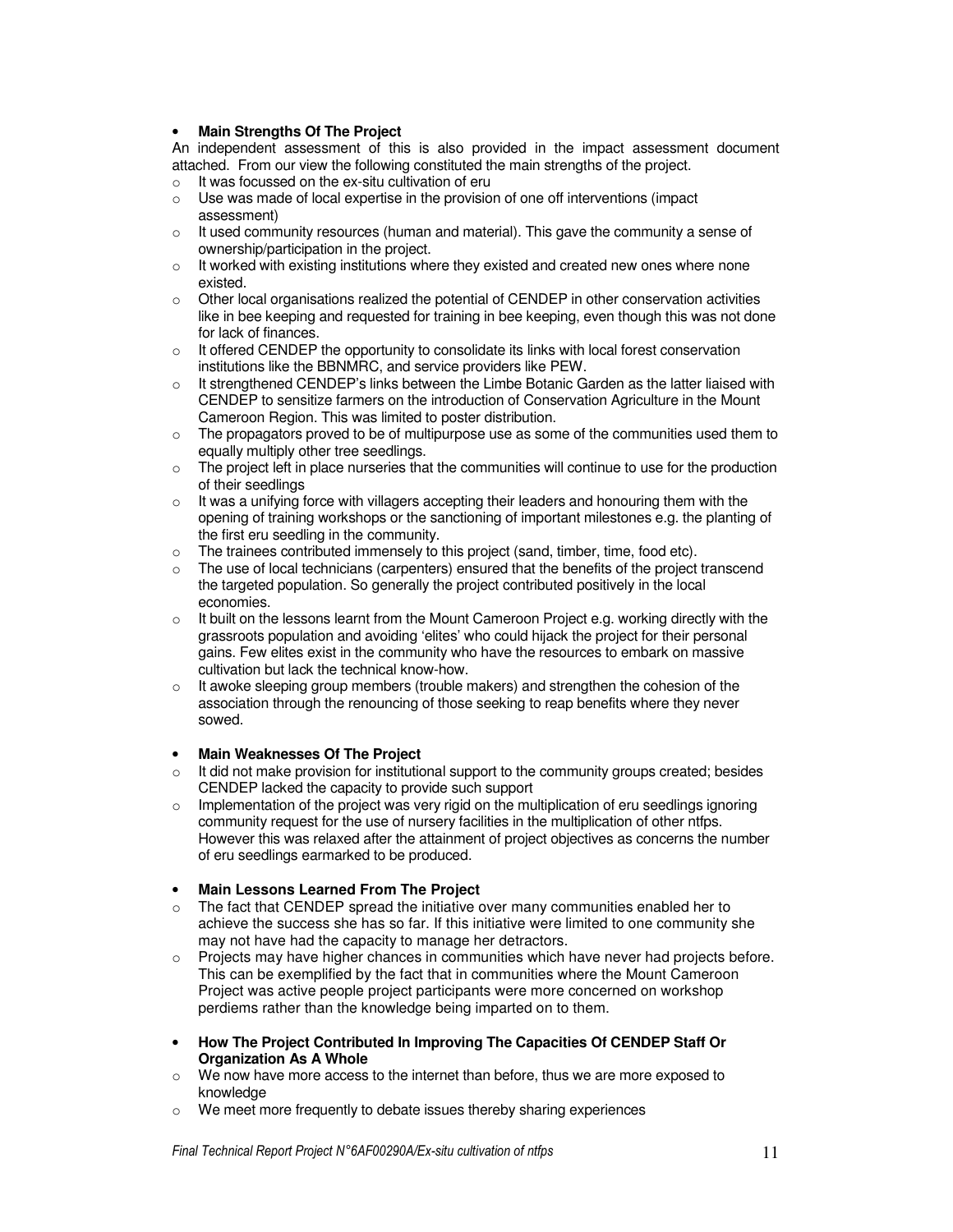#### • **Main Strengths Of The Project**

An independent assessment of this is also provided in the impact assessment document attached. From our view the following constituted the main strengths of the project.

- $\circ$  It was focussed on the ex-situ cultivation of eru
- o Use was made of local expertise in the provision of one off interventions (impact assessment)
- o It used community resources (human and material). This gave the community a sense of ownership/participation in the project.
- o It worked with existing institutions where they existed and created new ones where none existed.
- $\circ$  Other local organisations realized the potential of CENDEP in other conservation activities like in bee keeping and requested for training in bee keeping, even though this was not done for lack of finances.
- $\circ$  It offered CENDEP the opportunity to consolidate its links with local forest conservation institutions like the BBNMRC, and service providers like PEW.
- $\circ$  It strengthened CENDEP's links between the Limbe Botanic Garden as the latter liaised with CENDEP to sensitize farmers on the introduction of Conservation Agriculture in the Mount Cameroon Region. This was limited to poster distribution.
- $\circ$  The propagators proved to be of multipurpose use as some of the communities used them to equally multiply other tree seedlings.
- $\circ$  The project left in place nurseries that the communities will continue to use for the production of their seedlings
- $\circ$  It was a unifying force with villagers accepting their leaders and honouring them with the opening of training workshops or the sanctioning of important milestones e.g. the planting of the first eru seedling in the community.
- $\circ$  The trainees contributed immensely to this project (sand, timber, time, food etc).
- $\circ$  The use of local technicians (carpenters) ensured that the benefits of the project transcend the targeted population. So generally the project contributed positively in the local economies.
- $\circ$  It built on the lessons learnt from the Mount Cameroon Project e.g. working directly with the grassroots population and avoiding 'elites' who could hijack the project for their personal gains. Few elites exist in the community who have the resources to embark on massive cultivation but lack the technical know-how.
- o It awoke sleeping group members (trouble makers) and strengthen the cohesion of the association through the renouncing of those seeking to reap benefits where they never sowed.

#### • **Main Weaknesses Of The Project**

- o It did not make provision for institutional support to the community groups created; besides CENDEP lacked the capacity to provide such support
- $\circ$  Implementation of the project was very rigid on the multiplication of eru seedlings ignoring community request for the use of nursery facilities in the multiplication of other ntfps. However this was relaxed after the attainment of project objectives as concerns the number of eru seedlings earmarked to be produced.
- **Main Lessons Learned From The Project**
- $\circ$  The fact that CENDEP spread the initiative over many communities enabled her to achieve the success she has so far. If this initiative were limited to one community she may not have had the capacity to manage her detractors.
- $\circ$  Projects may have higher chances in communities which have never had projects before. This can be exemplified by the fact that in communities where the Mount Cameroon Project was active people project participants were more concerned on workshop perdiems rather than the knowledge being imparted on to them.
- **How The Project Contributed In Improving The Capacities Of CENDEP Staff Or Organization As A Whole**
- $\circ$  We now have more access to the internet than before, thus we are more exposed to knowledge
- o We meet more frequently to debate issues thereby sharing experiences